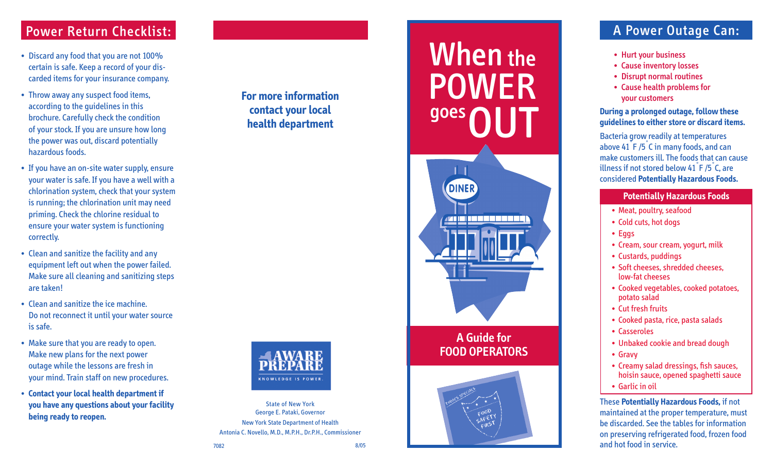# Power Return Checklist:

- Discard any food that you are not 100% certain is safe. Keep a record of your dis carded items for your insurance company.
- Throw away any suspect food items, according to the guidelines in this brochure. Carefully check the condition of your stock. If you are unsure how long the power was out, discard potentially hazardous foods.
- If you have an on-site water supply, ensure your water is safe. If you have a well with a chlorination system, check that your system is running; the chlorination unit may need priming. Check the chlorine residual to ensure your water system is functioning correctly.
- Clean and sanitize the facility and any equipment left out when the power failed. Make sure all cleaning and sanitizing steps are taken!
- Clean and sanitize the ice machine. Do not reconnect it until your water source is safe.
- Make sure that you are ready to open. Make new plans for the next power outage while the lessons are fresh in your mind. Train staff on new procedures.
- **Contact your local health department if you have any questions about your facility being ready to reopen.**

**For more information contact your local health department**



State of New York George E. Pataki, Governor New York State Department of Health Antonia C. Novello, M.D., M.P.H., Dr.P.H., Commissioner

# **When** the POWER goes **OUT DINER A Guide for FOOD OPERATORS**



# A Power Outage Can:

- Hurt your business
- Cause inventory losses
- Disrupt normal routines
- Cause health problems for your customers

#### **During a prolonged outage, follow these guidelines to either store or discard items.**

 Bacteria grow readily at temperatures above 41 ˚F /5 ˚C in many foods, and can make customers ill. The foods that can cause illness if not stored below 41 $\degree$ F /5 $\degree$ C, are considered **Potentially Hazardous Foods.**

### **Potentially Hazardous Foods**

- Meat, poultry, seafood
- Cold cuts, hot dogs
- Eggs
- Cream, sour cream, yogurt, milk
- Custards, puddings
- Soft cheeses, shredded cheeses, low-fat cheeses
- Cooked vegetables, cooked potatoes, potato salad ••••••••••••••
- Cut fresh fruits
- Cooked pasta, rice, pasta salads
- Casseroles
- Unbaked cookie and bread dough
- Gravy
- Creamy salad dressings, fish sauces, hoisin sauce, opened spaghetti sauce
- Garlic in oil

These **Potentially Hazardous Foods,** if not maintained at the proper temperature, must be discarded. See the tables for information on preserving refrigerated food, frozen food and hot food in service.